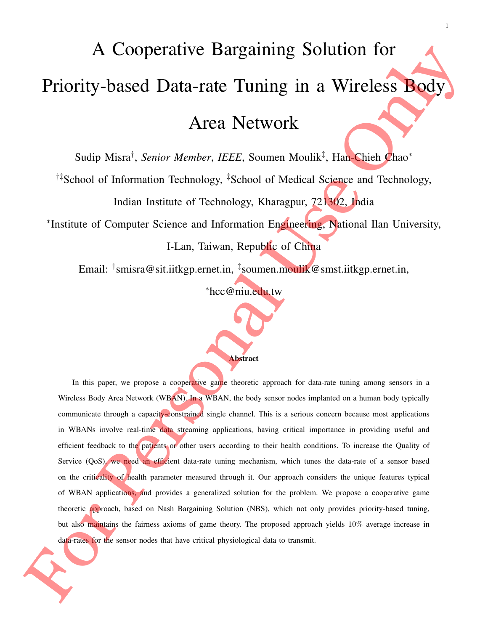# A Cooperative Bargaining Solution for Priority-based Data-rate Tuning in a Wireless Body

# Area Network

Sudip Misra† , *Senior Member*, *IEEE*, Soumen Moulik‡ , Han-Chieh Chao<sup>∗</sup>

†‡School of Information Technology, ‡School of Medical Science and Technology,

Indian Institute of Technology, Kharagpur, 721302, India

∗ Institute of Computer Science and Information Engineering, National Ilan University,

I-Lan, Taiwan, Republic of China

Email: <sup>†</sup>smisra@sit.iitkgp.ernet.in, <sup>‡</sup>soumen.moulik@smst.iitkgp.ernet.in,

<sup>∗</sup>hcc@niu.edu.tw



In this paper, we propose a cooperative game theoretic approach for data-rate tuning among sensors in a Wireless Body Area Network (WBAN). In a WBAN, the body sensor nodes implanted on a human body typically communicate through a capacity-constrained single channel. This is a serious concern because most applications in WBANs involve real-time data streaming applications, having critical importance in providing useful and efficient feedback to the patients or other users according to their health conditions. To increase the Quality of Service (QoS), we need an efficient data-rate tuning mechanism, which tunes the data-rate of a sensor based on the criticality of health parameter measured through it. Our approach considers the unique features typical of WBAN applications, and provides a generalized solution for the problem. We propose a cooperative game theoretic approach, based on Nash Bargaining Solution (NBS), which not only provides priority-based tuning, but also maintains the fairness axioms of game theory. The proposed approach yields 10% average increase in data-rates for the sensor nodes that have critical physiological data to transmit.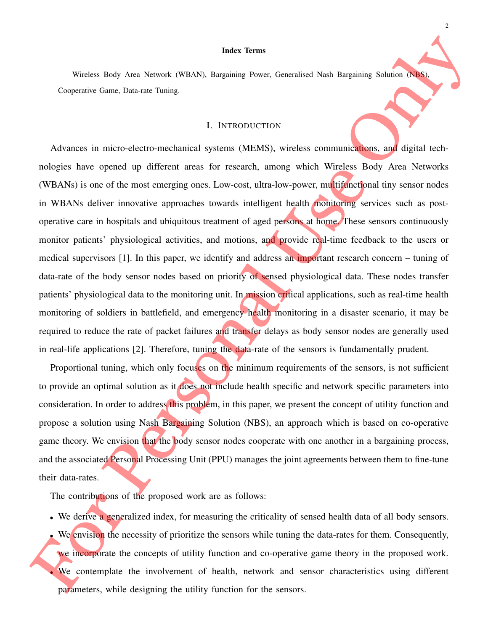#### Index Terms

Wireless Body Area Network (WBAN), Bargaining Power, Generalised Nash Bargaining Solution (NBS), Cooperative Game, Data-rate Tuning.

#### I. INTRODUCTION

Advances in micro-electro-mechanical systems (MEMS), wireless communications, and digital technologies have opened up different areas for research, among which Wireless Body Area Networks (WBANs) is one of the most emerging ones. Low-cost, ultra-low-power, multifunctional tiny sensor nodes in WBANs deliver innovative approaches towards intelligent health monitoring services such as postoperative care in hospitals and ubiquitous treatment of aged persons at home. These sensors continuously monitor patients' physiological activities, and motions, and provide real-time feedback to the users or medical supervisors [1]. In this paper, we identify and address an important research concern – tuning of data-rate of the body sensor nodes based on priority of sensed physiological data. These nodes transfer patients' physiological data to the monitoring unit. In mission critical applications, such as real-time health monitoring of soldiers in battlefield, and emergency health monitoring in a disaster scenario, it may be required to reduce the rate of packet failures and transfer delays as body sensor nodes are generally used in real-life applications [2]. Therefore, tuning the data-rate of the sensors is fundamentally prudent.

Proportional tuning, which only focuses on the minimum requirements of the sensors, is not sufficient to provide an optimal solution as it does not include health specific and network specific parameters into consideration. In order to address this problem, in this paper, we present the concept of utility function and propose a solution using Nash Bargaining Solution (NBS), an approach which is based on co-operative game theory. We envision that the body sensor nodes cooperate with one another in a bargaining process, and the associated Personal Processing Unit (PPU) manages the joint agreements between them to fine-tune their data-rates.

The contributions of the proposed work are as follows:

- We derive a generalized index, for measuring the criticality of sensed health data of all body sensors.
- We envision the necessity of prioritize the sensors while tuning the data-rates for them. Consequently, we incorporate the concepts of utility function and co-operative game theory in the proposed work. We contemplate the involvement of health, network and sensor characteristics using different parameters, while designing the utility function for the sensors.

 $\overline{\mathcal{L}}$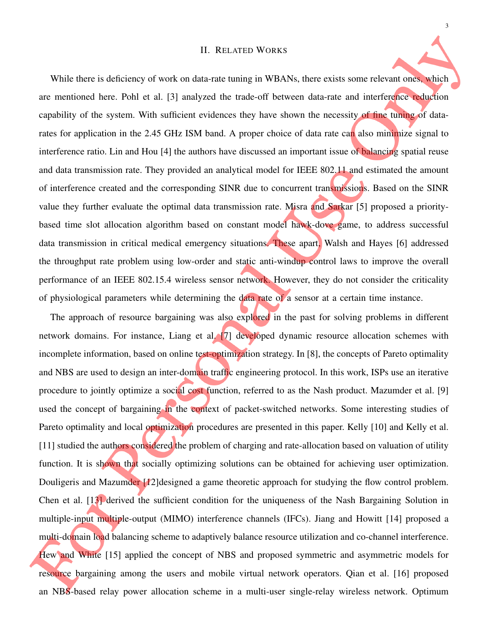#### II. RELATED WORKS

While there is deficiency of work on data-rate tuning in WBANs, there exists some relevant ones, which are mentioned here. Pohl et al. [3] analyzed the trade-off between data-rate and interference reduction capability of the system. With sufficient evidences they have shown the necessity of fine tuning of datarates for application in the 2.45 GHz ISM band. A proper choice of data rate can also minimize signal to interference ratio. Lin and Hou [4] the authors have discussed an important issue of balancing spatial reuse and data transmission rate. They provided an analytical model for IEEE 802.11 and estimated the amount of interference created and the corresponding SINR due to concurrent transmissions. Based on the SINR value they further evaluate the optimal data transmission rate. Misra and Sarkar [5] proposed a prioritybased time slot allocation algorithm based on constant model hawk-dove game, to address successful data transmission in critical medical emergency situations. These apart, Walsh and Hayes [6] addressed the throughput rate problem using low-order and static anti-windup control laws to improve the overall performance of an IEEE 802.15.4 wireless sensor network. However, they do not consider the criticality of physiological parameters while determining the data rate of a sensor at a certain time instance.

The approach of resource bargaining was also explored in the past for solving problems in different network domains. For instance, Liang et al. [7] developed dynamic resource allocation schemes with incomplete information, based on online test-optimization strategy. In [8], the concepts of Pareto optimality and NBS are used to design an inter-domain traffic engineering protocol. In this work, ISPs use an iterative procedure to jointly optimize a social cost function, referred to as the Nash product. Mazumder et al. [9] used the concept of bargaining in the context of packet-switched networks. Some interesting studies of Pareto optimality and local optimization procedures are presented in this paper. Kelly [10] and Kelly et al. [11] studied the authors considered the problem of charging and rate-allocation based on valuation of utility function. It is shown that socially optimizing solutions can be obtained for achieving user optimization. Douligeris and Mazumder [12]designed a game theoretic approach for studying the flow control problem. Chen et al. [13] derived the sufficient condition for the uniqueness of the Nash Bargaining Solution in multiple-input multiple-output (MIMO) interference channels (IFCs). Jiang and Howitt [14] proposed a multi-domain load balancing scheme to adaptively balance resource utilization and co-channel interference. Hew and White [15] applied the concept of NBS and proposed symmetric and asymmetric models for resource bargaining among the users and mobile virtual network operators. Qian et al. [16] proposed an NBS-based relay power allocation scheme in a multi-user single-relay wireless network. Optimum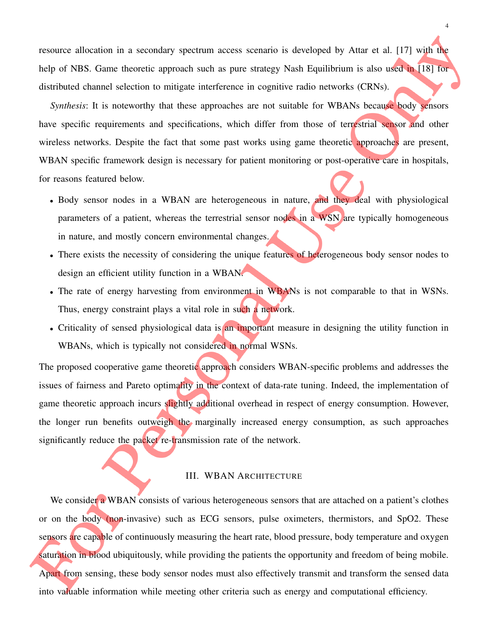resource allocation in a secondary spectrum access scenario is developed by Attar et al. [17] with the help of NBS. Game theoretic approach such as pure strategy Nash Equilibrium is also used in [18] for distributed channel selection to mitigate interference in cognitive radio networks (CRNs).

*Synthesis*: It is noteworthy that these approaches are not suitable for WBANs because body sensors have specific requirements and specifications, which differ from those of terrestrial sensor and other wireless networks. Despite the fact that some past works using game theoretic approaches are present, WBAN specific framework design is necessary for patient monitoring or post-operative care in hospitals, for reasons featured below.

- Body sensor nodes in a WBAN are heterogeneous in nature, and they deal with physiological parameters of a patient, whereas the terrestrial sensor nodes in a WSN are typically homogeneous in nature, and mostly concern environmental changes.
- There exists the necessity of considering the unique features of heterogeneous body sensor nodes to design an efficient utility function in a WBAN.
- The rate of energy harvesting from environment in WBANs is not comparable to that in WSNs. Thus, energy constraint plays a vital role in such a network.
- Criticality of sensed physiological data is an important measure in designing the utility function in WBANs, which is typically not considered in normal WSNs.

The proposed cooperative game theoretic approach considers WBAN-specific problems and addresses the issues of fairness and Pareto optimality in the context of data-rate tuning. Indeed, the implementation of game theoretic approach incurs slightly additional overhead in respect of energy consumption. However, the longer run benefits outweigh the marginally increased energy consumption, as such approaches significantly reduce the packet re-transmission rate of the network.

#### III. WBAN ARCHITECTURE

We consider a WBAN consists of various heterogeneous sensors that are attached on a patient's clothes or on the body (non-invasive) such as ECG sensors, pulse oximeters, thermistors, and SpO2. These sensors are capable of continuously measuring the heart rate, blood pressure, body temperature and oxygen saturation in blood ubiquitously, while providing the patients the opportunity and freedom of being mobile. Apart from sensing, these body sensor nodes must also effectively transmit and transform the sensed data into valuable information while meeting other criteria such as energy and computational efficiency.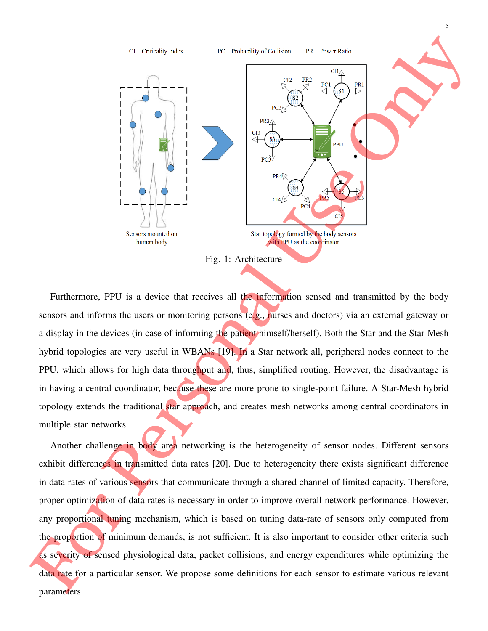

Furthermore, PPU is a device that receives all the information sensed and transmitted by the body sensors and informs the users or monitoring persons (e.g., nurses and doctors) via an external gateway or a display in the devices (in case of informing the patient himself/herself). Both the Star and the Star-Mesh hybrid topologies are very useful in WBANs [19]. In a Star network all, peripheral nodes connect to the PPU, which allows for high data throughput and, thus, simplified routing. However, the disadvantage is in having a central coordinator, because these are more prone to single-point failure. A Star-Mesh hybrid topology extends the traditional star approach, and creates mesh networks among central coordinators in multiple star networks.

Another challenge in body area networking is the heterogeneity of sensor nodes. Different sensors exhibit differences in transmitted data rates [20]. Due to heterogeneity there exists significant difference in data rates of various sensors that communicate through a shared channel of limited capacity. Therefore, proper optimization of data rates is necessary in order to improve overall network performance. However, any proportional tuning mechanism, which is based on tuning data-rate of sensors only computed from the proportion of minimum demands, is not sufficient. It is also important to consider other criteria such as severity of sensed physiological data, packet collisions, and energy expenditures while optimizing the data rate for a particular sensor. We propose some definitions for each sensor to estimate various relevant parameters.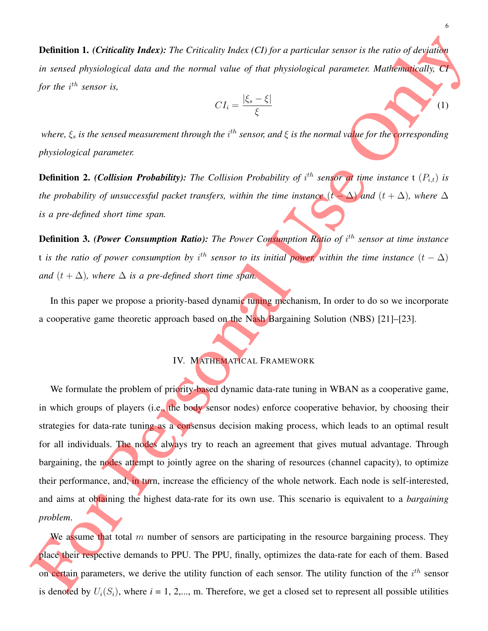Definition 1. *(Criticality Index): The Criticality Index (CI) for a particular sensor is the ratio of deviation in sensed physiological data and the normal value of that physiological parameter. Mathematically, CI for the i<sup>th</sup> sensor is,* 

$$
CI_i = \frac{|\xi_s - \xi|}{\xi}
$$

where,  $\xi_s$  is the sensed measurement through the i<sup>th</sup> sensor, and  $\xi$  is the normal va<mark>l</mark>ue for the corresponding *physiological parameter.*

**Definition 2.** *(Collision Probability):* The Collision Probability of  $i^{th}$  sensor at time instance t  $(P_{i,t})$  is *the probability of unsuccessful packet transfers, within the time instance*  $(t - \Delta)$  *and*  $(t + \Delta)$ *, where*  $\Delta$ *is a pre-defined short time span.*

**Definition 3. (Power Consumption Ratio):** The Power Consumption Ratio of i<sup>th</sup> sensor at time instance t is the ratio of power consumption by i<sup>th</sup> sensor to its initial power, within the time instance  $(t - \Delta)$ *and*  $(t + \Delta)$ *, where*  $\Delta$  *is a pre-defined short time span.* 

In this paper we propose a priority-based dynamic tuning mechanism. In order to do so we incorporate a cooperative game theoretic approach based on the Nash Bargaining Solution (NBS) [21]–[23].

#### IV. MATHEMATICAL FRAMEWORK

We formulate the problem of priority-based dynamic data-rate tuning in WBAN as a cooperative game, in which groups of players (i.e., the body sensor nodes) enforce cooperative behavior, by choosing their strategies for data-rate tuning as a consensus decision making process, which leads to an optimal result for all individuals. The nodes always try to reach an agreement that gives mutual advantage. Through bargaining, the nodes attempt to jointly agree on the sharing of resources (channel capacity), to optimize their performance, and, in turn, increase the efficiency of the whole network. Each node is self-interested, and aims at obtaining the highest data-rate for its own use. This scenario is equivalent to a *bargaining problem*.

We assume that total  $m$  number of sensors are participating in the resource bargaining process. They place their respective demands to PPU. The PPU, finally, optimizes the data-rate for each of them. Based on certain parameters, we derive the utility function of each sensor. The utility function of the  $i^{th}$  sensor is denoted by  $U_i(S_i)$ , where  $i = 1, 2,..., m$ . Therefore, we get a closed set to represent all possible utilities

(1)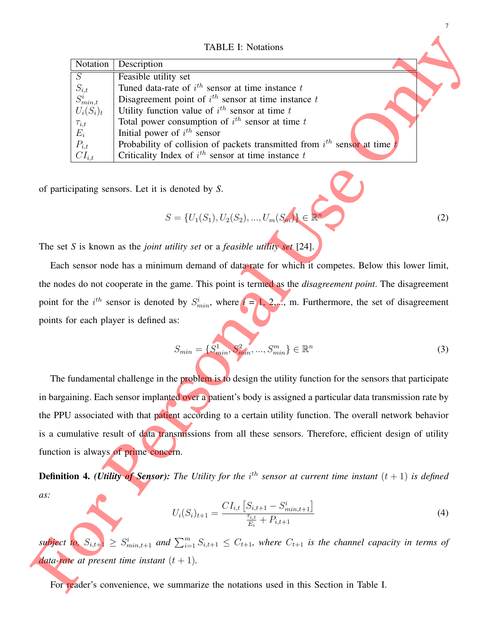TABLE I: Notations

| Notation                                                  | Description                                                                    |
|-----------------------------------------------------------|--------------------------------------------------------------------------------|
| $\overline{S}$                                            | Feasible utility set                                                           |
|                                                           | Tuned data-rate of $i^{th}$ sensor at time instance t                          |
| $\begin{array}{c}   \ S_{i,t} \\ S_{min,t}^i \end{array}$ | Disagreement point of $i^{th}$ sensor at time instance t                       |
| $U_i(S_i)_t$                                              | Utility function value of $i^{th}$ sensor at time t                            |
|                                                           | Total power consumption of $i^{th}$ sensor at time t                           |
|                                                           | Initial power of $i^{th}$ sensor                                               |
|                                                           | Probability of collision of packets transmitted from $i^{th}$ sensor at time t |
| $\tau_{i,t} \ E_i \ P_{i,t} \ C I_{i,t}$                  | Criticality Index of $i^{th}$ sensor at time instance t                        |

of participating sensors. Let it is denoted by *S*.

$$
S = \{U_1(S_1), U_2(S_2), \dots, U_m(S_m)\} \in \mathbb{R}^n
$$

The set *S* is known as the *joint utility set* or a *feasible utility set* [24].

Each sensor node has a minimum demand of data-rate for which it competes. Below this lower limit, the nodes do not cooperate in the game. This point is termed as the *disagreement point*. The disagreement point for the  $i^{th}$  sensor is denoted by  $S_{min}^i$ , where  $i = 1, 2, \ldots$ , m. Furthermore, the set of disagreement points for each player is defined as:

$$
S_{min} = \{S_{min}^1, S_{min}^2, ..., S_{min}^m\} \in \mathbb{R}^n
$$
 (3)

7

(2)

The fundamental challenge in the problem is to design the utility function for the sensors that participate in bargaining. Each sensor implanted over a patient's body is assigned a particular data transmission rate by the PPU associated with that patient according to a certain utility function. The overall network behavior is a cumulative result of data transmissions from all these sensors. Therefore, efficient design of utility function is always of prime concern.

**Definition 4.** *(Utility of Sensor):* The Utility for the  $i^{th}$  sensor at current time instant  $(t + 1)$  is defined *as:*

$$
U_i(S_i)_{t+1} = \frac{CI_{i,t} \left[ S_{i,t+1} - S_{min,t+1}^i \right]}{\frac{\tau_{i,t}}{E_i} + P_{i,t+1}}
$$
(4)

 $s$ **ubject to,**  $S_{i,t+1} \geq S_{min,t+1}^i$  and  $\sum_{i=1}^m S_{i,t+1} \leq C_{t+1}$ , where  $C_{t+1}$  is the channel capacity in terms of *data-rate at present time instant*  $(t + 1)$ *.* 

For reader's convenience, we summarize the notations used in this Section in Table I.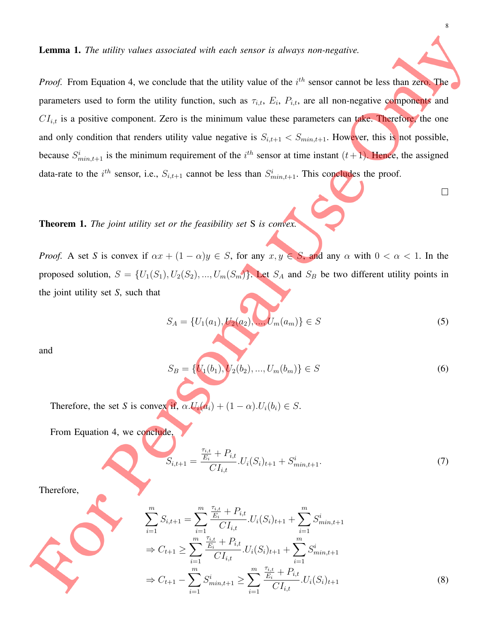*Proof.* From Equation 4, we conclude that the utility value of the  $i<sup>th</sup>$  sensor cannot be less than zero. The parameters used to form the utility function, such as  $\tau_{i,t}$ ,  $E_i$ ,  $P_{i,t}$ , are all non-negative components and  $CI_{i,t}$  is a positive component. Zero is the minimum value these parameters can take. Therefore, the one and only condition that renders utility value negative is  $S_{i,t+1} < S_{min,t+1}$ . However, this is not possible, because  $S_{min,t+1}^i$  is the minimum requirement of the  $i^{th}$  sensor at time instant  $(t+1)$ . Hence, the assigned data-rate to the *i*<sup>th</sup> sensor, i.e.,  $S_{i,t+1}$  cannot be less than  $S_{min,t+1}^i$ . This concludes the proof.

Theorem 1. *The joint utility set or the feasibility set* S *is convex.*

*Proof.* A set *S* is convex if  $\alpha x + (1 - \alpha)y \in S$ , for any  $x, y \in S$ , and any  $\alpha$  with  $0 < \alpha < 1$ . In the proposed solution,  $S = \{U_1(S_1), U_2(S_2), ..., U_m(S_m)\}\.$  Let  $S_A$  and  $S_B$  be two different utility points in the joint utility set *S*, such that

$$
S_A = \{U_1(a_1), U_2(a_2), \dots, U_m(a_m)\} \in S
$$
\n<sup>(5)</sup>

and

$$
S_B = \{U_1(b_1), U_2(b_2), \dots, U_m(b_m)\} \in S
$$
\n<sup>(6)</sup>

Therefore, the set *S* is convex if,  $\alpha.U_i(a_i) + (1-\alpha).U_i(b_i) \in S$ .

From Equation 4, we conclude,

$$
S_{i,t+1} = \frac{\frac{\tau_{i,t}}{E_i} + P_{i,t}}{CI_{i,t}} \cdot U_i(S_i)_{t+1} + S_{min,t+1}^i. \tag{7}
$$

Therefore,

$$
\sum_{i=1}^{m} S_{i,t+1} = \sum_{i=1}^{m} \frac{\frac{\tau_{i,t}}{E_i} + P_{i,t}}{CI_{i,t}} \cdot U_i(S_i)_{t+1} + \sum_{i=1}^{m} S_{min,t+1}^i
$$
  
\n
$$
\Rightarrow C_{t+1} \ge \sum_{i=1}^{m} \frac{\frac{\tau_{i,t}}{E_i} + P_{i,t}}{CI_{i,t}} \cdot U_i(S_i)_{t+1} + \sum_{i=1}^{m} S_{min,t+1}^i
$$
  
\n
$$
\Rightarrow C_{t+1} - \sum_{i=1}^{m} S_{min,t+1}^i \ge \sum_{i=1}^{m} \frac{\frac{\tau_{i,t}}{E_i} + P_{i,t}}{CI_{i,t}} \cdot U_i(S_i)_{t+1}
$$
 (8)

 $\Box$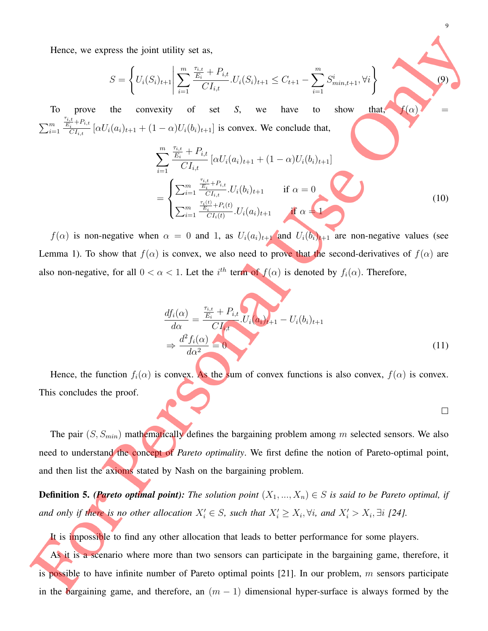Hence, we express the joint utility set as,

$$
S = \left\{ U_i(S_i)_{t+1} \middle| \sum_{i=1}^m \frac{\frac{\tau_{i,t}}{E_i} + P_{i,t}}{CI_{i,t}} U_i(S_i)_{t+1} \le C_{t+1} - \sum_{i=1}^m S_{min,t+1}^i, \forall i \right\}
$$
(9)

9

 $\Box$ 

To prove the convexity of set *S*, we have to show that,  $f(\alpha)$  =  $\sum_{i=1}^m$  $\tau_{i,t}$  $\frac{i,t}{E_i}+P_{i,t}$  $\frac{C_i}{CI_{i,t}} [\alpha U_i(a_i)_{t+1} + (1-\alpha)U_i(b_i)_{t+1}]$  is convex. We conclude that,

$$
\sum_{i=1}^{m} \frac{\frac{\tau_{i,t}}{E_i} + P_{i,t}}{CI_{i,t}} \left[ \alpha U_i(a_i)_{t+1} + (1 - \alpha) U_i(b_i)_{t+1} \right]
$$
\n
$$
= \begin{cases}\n\sum_{i=1}^{m} \frac{\frac{\tau_{i,t}}{E_i} + P_{i,t}}{CI_{i,t}} \cdot U_i(b_i)_{t+1} & \text{if } \alpha = 0 \\
\sum_{i=1}^{m} \frac{\frac{\tau_i(t)}{E_i} + P_i(t)}{CI_i(t)} \cdot U_i(a_i)_{t+1} & \text{if } \alpha = 1\n\end{cases}
$$
\n(10)

 $f(\alpha)$  is non-negative when  $\alpha = 0$  and 1, as  $U_i(a_i)_{i+1}$  and  $U_i(b_i)_{i+1}$  are non-negative values (see Lemma 1). To show that  $f(\alpha)$  is convex, we also need to prove that the second-derivatives of  $f(\alpha)$  are also non-negative, for all  $0 < \alpha < 1$ . Let the  $i<sup>th</sup>$  term of  $f(\alpha)$  is denoted by  $f_i(\alpha)$ . Therefore,

$$
\frac{df_i(\alpha)}{d\alpha} = \frac{\frac{\tau_{i,t}}{E_i} + P_{i,t}}{CI_{i,t}} \cdot U_i(\alpha_i)_{t+1} - U_i(b_i)_{t+1}
$$
\n
$$
\Rightarrow \frac{d^2 f_i(\alpha)}{d\alpha^2} = 0
$$
\n(11)

Hence, the function  $f_i(\alpha)$  is convex. As the sum of convex functions is also convex,  $f(\alpha)$  is convex. This concludes the proof.

The pair 
$$
(S, S_{min})
$$
 mathematically defines the bargaining problem among *m* selected sensors. We also need to understand the concept of Pareto optimality. We first define the notion of Pareto-optimal point, and then list the axioms stated by Nash on the bargaining problem.

**Definition 5.** *(Pareto optimal point): The solution point*  $(X_1, ..., X_n) \in S$  *is said to be Pareto optimal, if* and only if there is no other allocation  $X'_i \in S$ , such that  $X'_i \ge X_i, \forall i$ , and  $X'_i > X_i, \exists i$  [24].

It is impossible to find any other allocation that leads to better performance for some players. As it is a scenario where more than two sensors can participate in the bargaining game, therefore, it is possible to have infinite number of Pareto optimal points  $[21]$ . In our problem, m sensors participate in the bargaining game, and therefore, an  $(m - 1)$  dimensional hyper-surface is always formed by the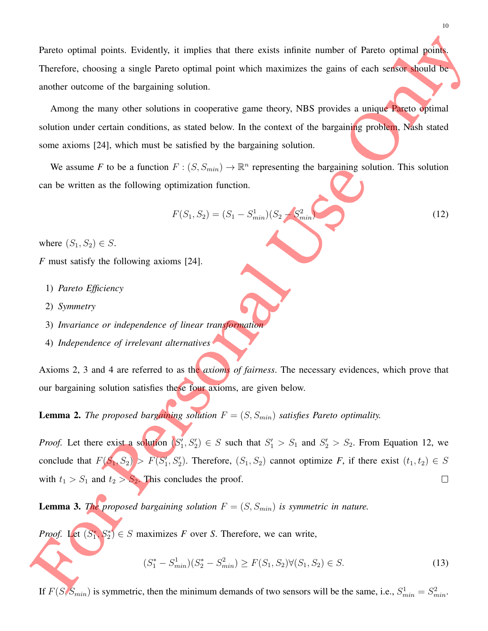Pareto optimal points. Evidently, it implies that there exists infinite number of Pareto optimal points. Therefore, choosing a single Pareto optimal point which maximizes the gains of each sensor should be another outcome of the bargaining solution.

Among the many other solutions in cooperative game theory, NBS provides a unique Pareto optimal solution under certain conditions, as stated below. In the context of the bargaining problem, Nash stated some axioms [24], which must be satisfied by the bargaining solution.

We assume F to be a function  $F: (S, S_{min}) \to \mathbb{R}^n$  representing the bargaining solution. This solution can be written as the following optimization function.

$$
F(S_1, S_2) = (S_1 - S_{min}^1)(S_2 - S_{min}^2)
$$
\n(12)

where  $(S_1, S_2) \in S$ .

- *F* must satisfy the following axioms [24].
	- 1) *Pareto Efficiency*
	- 2) *Symmetry*
	- 3) *Invariance or independence of linear transformation*
	- 4) *Independence of irrelevant alternatives*

Axioms 2, 3 and 4 are referred to as the *axioms of fairness*. The necessary evidences, which prove that our bargaining solution satisfies these four axioms, are given below.

**Lemma 2.** *The proposed bargaining solution*  $F = (S, S_{min})$  *satisfies Pareto optimality.* 

*Proof.* Let there exist a solution  $(S'_1, S'_2) \in S$  such that  $S'_1 > S_1$  and  $S'_2 > S_2$ . From Equation 12, we conclude that  $F(S_1, S_2) > F(S_1', S_2')$ . Therefore,  $(S_1, S_2)$  cannot optimize *F*, if there exist  $(t_1, t_2) \in S$ with  $t_1 > S_1$  and  $t_2 > S_2$ . This concludes the proof.  $\Box$ 

**Lemma 3.** *The proposed bargaining solution*  $F = (S, S_{min})$  *is symmetric in nature.* 

*Proof.* Let  $(S_1^*, S_2^*) \in S$  maximizes *F* over *S*. Therefore, we can write,

$$
(S_1^* - S_{min}^1)(S_2^* - S_{min}^2) \ge F(S_1, S_2) \forall (S_1, S_2) \in S.
$$
\n(13)

If  $F(S, S_{min})$  is symmetric, then the minimum demands of two sensors will be the same, i.e.,  $S_{min}^1 = S_{min}^2$ .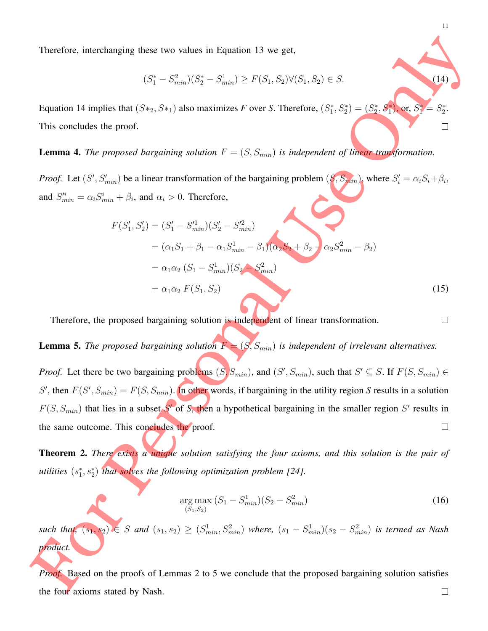Therefore, interchanging these two values in Equation 13 we get,

$$
(S_1^* - S_{min}^2)(S_2^* - S_{min}^1) \ge F(S_1, S_2) \forall (S_1, S_2) \in S.
$$
\n(14)

Equation 14 implies that  $(S*_2, S*_1)$  also maximizes *F* over *S*. Therefore,  $(S_1^*, S_2^*) = (S_2^*, S_1^*)$ , or,  $S_1^* = S$ ∗ . 2 This concludes the proof.  $\Box$ 

### **Lemma 4.** *The proposed bargaining solution*  $F = (S, S_{min})$  *is independent of linear transformation.*

*Proof.* Let  $(S', S'_{min})$  be a linear transformation of the bargaining problem  $(S, S_{min})$ , where  $S'_{i} = \alpha_{i} S_{i} + \beta_{i}$ , and  $S_{min}^{i} = \alpha_i S_{min}^i + \beta_i$ , and  $\alpha_i > 0$ . Therefore,

$$
F(S'_1, S'_2) = (S'_1 - S'^1_{min})(S'_2 - S'^2_{min})
$$
  
=  $(\alpha_1 S_1 + \beta_1 - \alpha_1 S^1_{min} - \beta_1)(\alpha_2 S_2 + \beta_2 - \alpha_2 S^2_{min} - \beta_2)$   
=  $\alpha_1 \alpha_2 (S_1 - S^1_{min})(S_2 - S^2_{min})$   
=  $\alpha_1 \alpha_2 F(S_1, S_2)$  (15)

Therefore, the proposed bargaining solution is independent of linear transformation.

**Lemma 5.** *The proposed bargaining solution*  $F = (S, S_{min})$  *is independent of irrelevant alternatives.* 

*Proof.* Let there be two bargaining problems  $(S, S_{min})$ , and  $(S', S_{min})$ , such that  $S' \subseteq S$ . If  $F(S, S_{min}) \in$ S', then  $F(S', S_{min}) = F(S, S_{min})$ . In other words, if bargaining in the utility region S results in a solution  $F(S, S_{min})$  that lies in a subset S' of S, then a hypothetical bargaining in the smaller region S' results in  $\Box$ the same outcome. This concludes the proof.

Theorem 2. *There exists a unique solution satisfying the four axioms, and this solution is the pair of utilities*  $(s_1^*, s_2^*)$  *that solves the following optimization problem [24].* 

$$
\underset{(S_1, S_2)}{\arg \max} (S_1 - S_{min}^1)(S_2 - S_{min}^2) \tag{16}
$$

such that,  $(s_1, s_2) \in S$  and  $(s_1, s_2) \ge (S_{min}^1, S_{min}^2)$  where,  $(s_1 - S_{min}^1)(s_2 - S_{min}^2)$  is termed as Nash *product.*

*Proof.* Based on the proofs of Lemmas 2 to 5 we conclude that the proposed bargaining solution satisfies  $\Box$ the four axioms stated by Nash.

 $\Box$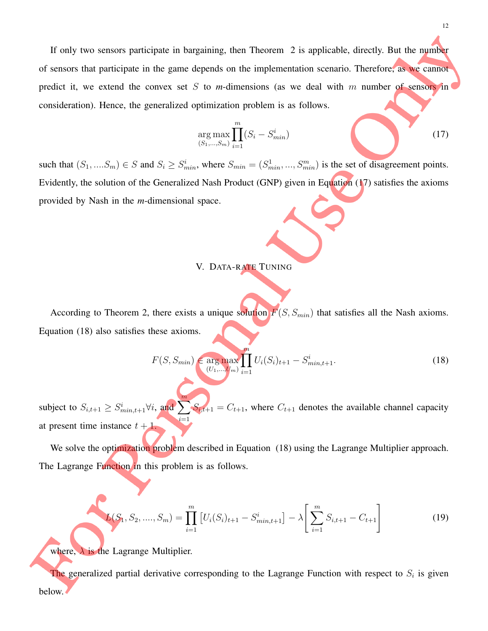If only two sensors participate in bargaining, then Theorem 2 is applicable, directly. But the number of sensors that participate in the game depends on the implementation scenario. Therefore, as we cannot predict it, we extend the convex set S to *m*-dimensions (as we deal with  $m$  number of sensors in consideration). Hence, the generalized optimization problem is as follows.

$$
\arg \max_{(S_1, ..., S_m)} \prod_{i=1}^m (S_i - S_{min}^i)
$$
\n(17)

such that  $(S_1, ..., S_m) \in S$  and  $S_i \geq S_{min}^i$ , where  $S_{min} = (S_{min}^1, ..., S_{min}^m)$  is the set of disagreement points. Evidently, the solution of the Generalized Nash Product (GNP) given in Equation (17) satisfies the axioms provided by Nash in the *m*-dimensional space.

#### V. DATA-RATE TUNING

According to Theorem 2, there exists a unique solution  $F(S, S_{min})$  that satisfies all the Nash axioms. Equation (18) also satisfies these axioms.

$$
F(S, S_{min}) \in \underset{(U_1, \dots, U_m)}{\text{arg max}} \prod_{i=1}^m U_i(S_i)_{t+1} - S_{min, t+1}^i. \tag{18}
$$

subject to  $S_{i,t+1} \geq S_{min,t+1}^i \forall i$ , and  $\sum_{i=1}^m$  $i=1$  $S_{i,t+1} = C_{t+1}$ , where  $C_{t+1}$  denotes the available channel capacity at present time instance  $t + 1$ .

We solve the optimization problem described in Equation (18) using the Lagrange Multiplier approach. The Lagrange Function in this problem is as follows.

$$
L(S_1, S_2, \dots, S_m) = \prod_{i=1}^m \left[ U_i(S_i)_{t+1} - S_{min,t+1}^i \right] - \lambda \left[ \sum_{i=1}^m S_{i,t+1} - C_{t+1} \right]
$$
(19)

where,  $\lambda$  is the Lagrange Multiplier.

The generalized partial derivative corresponding to the Lagrange Function with respect to  $S_i$  is given below.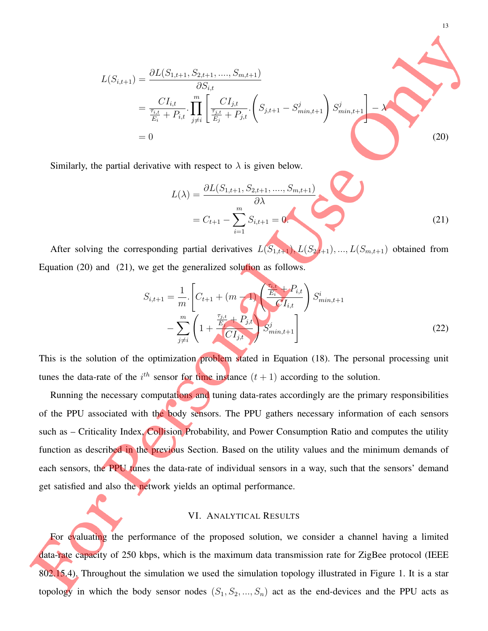$$
L(S_{i,t+1}) = \frac{\partial L(S_{1,t+1}, S_{2,t+1}, \dots, S_{m,t+1})}{\partial S_{i,t}} \\
= \frac{CI_{i,t}}{\frac{\tau_{i,t}}{E_i} + P_{i,t}} \cdot \prod_{j \neq i}^m \left[ \frac{CI_{j,t}}{\frac{\tau_{j,t}}{E_j} + P_{j,t}} \cdot \left( S_{j,t+1} - S_{min,t+1}^j \right) S_{min,t+1}^j \right] - \lambda \\
= 0
$$
\n(20)

Similarly, the partial derivative with respect to  $\lambda$  is given below.

$$
L(\lambda) = \frac{\partial L(S_{1,t+1}, S_{2,t+1}, \dots, S_{m,t+1})}{\partial \lambda}
$$
  
=  $C_{t+1} - \sum_{i=1}^{m} S_{i,t+1} = 0.$  (21)

13

After solving the corresponding partial derivatives  $L(S_{1,t+1}), L(S_{2,t+1}), ..., L(S_{m,t+1})$  obtained from Equation (20) and (21), we get the generalized solution as follows.

$$
S_{i,t+1} = \frac{1}{m} \left[ C_{t+1} + (m - 1) \frac{\left( \frac{\tau_{i,t}}{E_i} + P_{i,t} \right)}{C I_{i,t}} \right] S_{min,t+1}^i
$$

$$
- \sum_{j \neq i}^m \left( 1 + \frac{\frac{\tau_{j,t}}{E_j} + P_{j,t}}{C I_{j,t}} \right) S_{min,t+1}^j
$$
(22)

This is the solution of the optimization problem stated in Equation (18). The personal processing unit tunes the data-rate of the  $i^{th}$  sensor for time instance  $(t + 1)$  according to the solution.

Running the necessary computations and tuning data-rates accordingly are the primary responsibilities of the PPU associated with the body sensors. The PPU gathers necessary information of each sensors such as – Criticality Index, Collision Probability, and Power Consumption Ratio and computes the utility function as described in the previous Section. Based on the utility values and the minimum demands of each sensors, the PPU tunes the data-rate of individual sensors in a way, such that the sensors' demand get satisfied and also the network yields an optimal performance.

#### VI. ANALYTICAL RESULTS

For evaluating the performance of the proposed solution, we consider a channel having a limited data-rate capacity of 250 kbps, which is the maximum data transmission rate for ZigBee protocol (IEEE 802.15.4). Throughout the simulation we used the simulation topology illustrated in Figure 1. It is a star topology in which the body sensor nodes  $(S_1, S_2, ..., S_n)$  act as the end-devices and the PPU acts as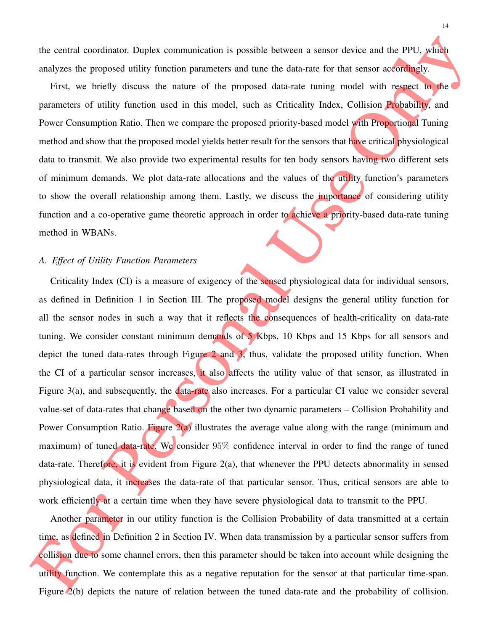the central coordinator. Duplex communication is possible between a sensor device and the PPU, which analyzes the proposed utility function parameters and tune the data-rate for that sensor accordingly.

First, we briefly discuss the nature of the proposed data-rate tuning model with respect to the parameters of utility function used in this model, such as Criticality Index, Collision Probability, and Power Consumption Ratio. Then we compare the proposed priority-based model with Proportional Tuning method and show that the proposed model yields better result for the sensors that have critical physiological data to transmit. We also provide two experimental results for ten body sensors having two different sets of minimum demands. We plot data-rate allocations and the values of the utility function's parameters to show the overall relationship among them. Lastly, we discuss the *importance* of considering utility function and a co-operative game theoretic approach in order to achieve a priority-based data-rate tuning method in WBANs.

#### *A. Effect of Utility Function Parameters*

Criticality Index (CI) is a measure of exigency of the sensed physiological data for individual sensors, as defined in Definition 1 in Section III. The proposed model designs the general utility function for all the sensor nodes in such a way that it reflects the consequences of health-criticality on data-rate tuning. We consider constant minimum demands of 5 Kbps, 10 Kbps and 15 Kbps for all sensors and depict the tuned data-rates through Figure  $2$  and  $3$ , thus, validate the proposed utility function. When the CI of a particular sensor increases, it also affects the utility value of that sensor, as illustrated in Figure 3(a), and subsequently, the data-rate also increases. For a particular CI value we consider several value-set of data-rates that change based on the other two dynamic parameters – Collision Probability and Power Consumption Ratio. Figure 2(a) illustrates the average value along with the range (minimum and maximum) of tuned data-rate. We consider 95% confidence interval in order to find the range of tuned data-rate. Therefore, it is evident from Figure 2(a), that whenever the PPU detects abnormality in sensed physiological data, it increases the data-rate of that particular sensor. Thus, critical sensors are able to work efficiently at a certain time when they have severe physiological data to transmit to the PPU.

Another parameter in our utility function is the Collision Probability of data transmitted at a certain time, as defined in Definition 2 in Section IV. When data transmission by a particular sensor suffers from collision due to some channel errors, then this parameter should be taken into account while designing the utility function. We contemplate this as a negative reputation for the sensor at that particular time-span. Figure 2(b) depicts the nature of relation between the tuned data-rate and the probability of collision.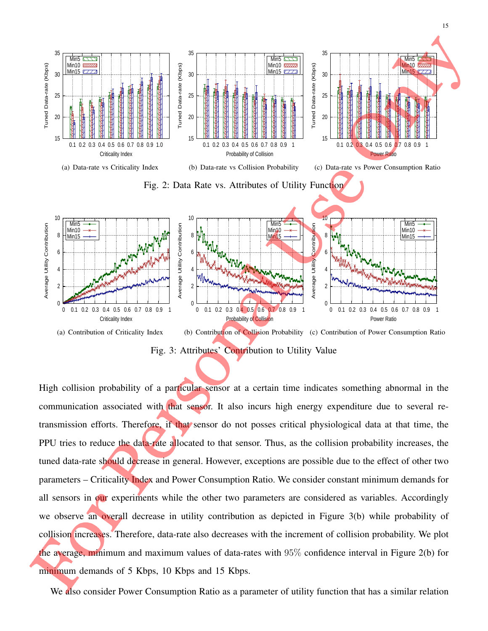

15

Fig. 3: Attributes' Contribution to Utility Value

High collision probability of a particular sensor at a certain time indicates something abnormal in the communication associated with that sensor. It also incurs high energy expenditure due to several retransmission efforts. Therefore, if that sensor do not posses critical physiological data at that time, the PPU tries to reduce the data-rate allocated to that sensor. Thus, as the collision probability increases, the tuned data-rate should decrease in general. However, exceptions are possible due to the effect of other two parameters – Criticality Index and Power Consumption Ratio. We consider constant minimum demands for all sensors in our experiments while the other two parameters are considered as variables. Accordingly we observe an overall decrease in utility contribution as depicted in Figure 3(b) while probability of collision increases. Therefore, data-rate also decreases with the increment of collision probability. We plot the average, minimum and maximum values of data-rates with 95% confidence interval in Figure 2(b) for minimum demands of 5 Kbps, 10 Kbps and 15 Kbps.

We also consider Power Consumption Ratio as a parameter of utility function that has a similar relation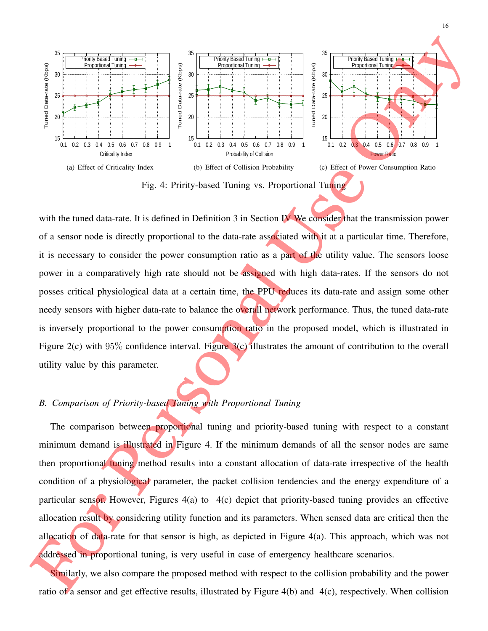

with the tuned data-rate. It is defined in Definition 3 in Section IV We consider that the transmission power of a sensor node is directly proportional to the data-rate associated with it at a particular time. Therefore, it is necessary to consider the power consumption ratio as a part of the utility value. The sensors loose power in a comparatively high rate should not be assigned with high data-rates. If the sensors do not posses critical physiological data at a certain time, the PPU reduces its data-rate and assign some other needy sensors with higher data-rate to balance the overall network performance. Thus, the tuned data-rate is inversely proportional to the power consumption ratio in the proposed model, which is illustrated in Figure 2(c) with 95% confidence interval. Figure 3(c) illustrates the amount of contribution to the overall utility value by this parameter.

## *B. Comparison of Priority-based Tuning with Proportional Tuning*

The comparison between proportional tuning and priority-based tuning with respect to a constant minimum demand is illustrated in Figure 4. If the minimum demands of all the sensor nodes are same then proportional tuning method results into a constant allocation of data-rate irrespective of the health condition of a physiological parameter, the packet collision tendencies and the energy expenditure of a particular sensor. However, Figures 4(a) to 4(c) depict that priority-based tuning provides an effective allocation result by considering utility function and its parameters. When sensed data are critical then the allocation of data-rate for that sensor is high, as depicted in Figure  $4(a)$ . This approach, which was not addressed in proportional tuning, is very useful in case of emergency healthcare scenarios.

Similarly, we also compare the proposed method with respect to the collision probability and the power ratio of a sensor and get effective results, illustrated by Figure 4(b) and 4(c), respectively. When collision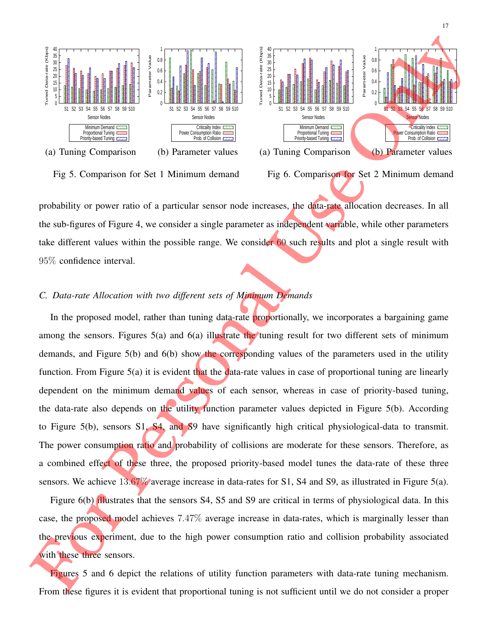

Tuned Data-rate (Kbps)

Tuned Data-rate (Kbps)

S1 S2 S3 S4 S5 S6 S7 S8 S9 S10

Sensor Nodes Minimum Demand RTTT Proportional Tuning Priority-based Tuning

Fig 5. Comparison for Set 1 Minimum demand Fig 6. Comparison for Set 2 Minimum demand

probability or power ratio of a particular sensor node increases, the data-rate allocation decreases. In all the sub-figures of Figure 4, we consider a single parameter as independent variable, while other parameters take different values within the possible range. We consider 60 such results and plot a single result with 95% confidence interval.

#### *C. Data-rate Allocation with two different sets of Minimum Demands*

In the proposed model, rather than tuning data-rate **proportionally**, we incorporates a bargaining game among the sensors. Figures 5(a) and 6(a) illustrate the tuning result for two different sets of minimum demands, and Figure 5(b) and 6(b) show the corresponding values of the parameters used in the utility function. From Figure  $5(a)$  it is evident that the data-rate values in case of proportional tuning are linearly dependent on the minimum demand values of each sensor, whereas in case of priority-based tuning, the data-rate also depends on the utility function parameter values depicted in Figure 5(b). According to Figure 5(b), sensors S1, S4, and S9 have significantly high critical physiological-data to transmit. The power consumption ratio and probability of collisions are moderate for these sensors. Therefore, as a combined effect of these three, the proposed priority-based model tunes the data-rate of these three sensors. We achieve  $13.67\%$  average increase in data-rates for S1, S4 and S9, as illustrated in Figure 5(a).

Figure 6(b) illustrates that the sensors S4, S5 and S9 are critical in terms of physiological data. In this case, the proposed model achieves 7.47% average increase in data-rates, which is marginally lesser than the previous experiment, due to the high power consumption ratio and collision probability associated with these three sensors.

Figures 5 and 6 depict the relations of utility function parameters with data-rate tuning mechanism. From these figures it is evident that proportional tuning is not sufficient until we do not consider a proper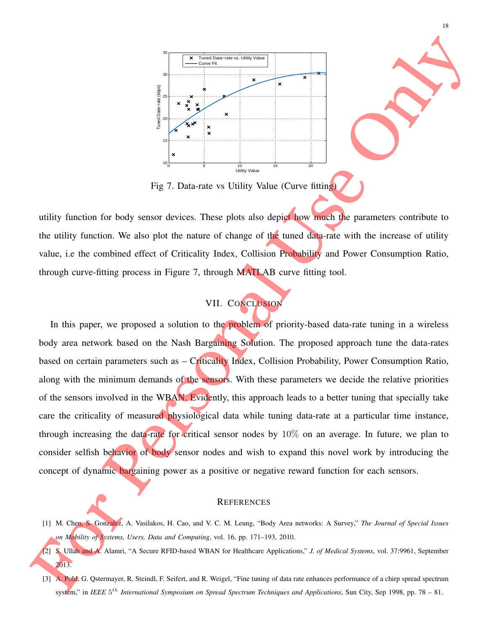

Fig 7. Data-rate vs Utility Value (Curve fitting)

utility function for body sensor devices. These plots also depict how much the parameters contribute to the utility function. We also plot the nature of change of the tuned data-rate with the increase of utility value, i.e the combined effect of Criticality Index, Collision Probability and Power Consumption Ratio, through curve-fitting process in Figure 7, through MATLAB curve fitting tool.

# VII. CONCLUSION

In this paper, we proposed a solution to the problem of priority-based data-rate tuning in a wireless body area network based on the Nash Bargaining Solution. The proposed approach tune the data-rates based on certain parameters such as – Criticality Index, Collision Probability, Power Consumption Ratio, along with the minimum demands of the sensors. With these parameters we decide the relative priorities of the sensors involved in the WBAN. Evidently, this approach leads to a better tuning that specially take care the criticality of measured physiological data while tuning data-rate at a particular time instance, through increasing the data-rate for critical sensor nodes by 10% on an average. In future, we plan to consider selfish behavior of body sensor nodes and wish to expand this novel work by introducing the concept of dynamic bargaining power as a positive or negative reward function for each sensors.

#### **REFERENCES**

- [1] M. Chen, S. Gonzalez, A. Vasilakos, H. Cao, and V. C. M. Leung, "Body Area networks: A Survey," *The Journal of Special Issues on Mobility of Systems, Users, Data and Computing*, vol. 16, pp. 171–193, 2010.
- [2] S. Ullah and A. Alamri, "A Secure RFID-based WBAN for Healthcare Applications," *J. of Medical Systems*, vol. 37:9961, September 2013.
- [3] A. Pohl, G. Ostermayer, R. Steindl, F. Seifert, and R. Weigel, "Fine tuning of data rate enhances performance of a chirp spread spectrum system," in *IEEE* 5<sup>th</sup> International Symposium on Spread Spectrum Techniques and Applications, Sun City, Sep 1998, pp. 78 – 81.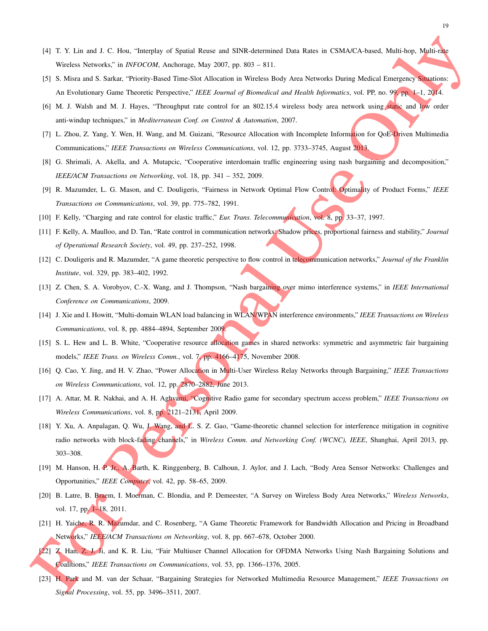- [4] T. Y. Lin and J. C. Hou, "Interplay of Spatial Reuse and SINR-determined Data Rates in CSMA/CA-based, Multi-hop, Multi-rate Wireless Networks," in *INFOCOM*, Anchorage, May 2007, pp. 803 – 811.
- [5] S. Misra and S. Sarkar, "Priority-Based Time-Slot Allocation in Wireless Body Area Networks During Medical Emergency Situations: An Evolutionary Game Theoretic Perspective," *IEEE Journal of Biomedical and Health Informatics*, vol. PP, no. 99, pp. 1–1, 2014.
- [6] M. J. Walsh and M. J. Hayes, "Throughput rate control for an 802.15.4 wireless body area network using static and low order anti-windup techniques," in *Mediterranean Conf. on Control & Automation*, 2007.
- [7] L. Zhou, Z. Yang, Y. Wen, H. Wang, and M. Guizani, "Resource Allocation with Incomplete Information for QoE-Driven Multimedia Communications," *IEEE Transactions on Wireless Communications*, vol. 12, pp. 3733–3745, August 2013.
- [8] G. Shrimali, A. Akella, and A. Mutapcic, "Cooperative interdomain traffic engineering using nash bargaining and decomposition," *IEEE/ACM Transactions on Networking*, vol. 18, pp. 341 – 352, 2009.
- [9] R. Mazumder, L. G. Mason, and C. Douligeris, "Fairness in Network Optimal Flow Control: Optimality of Product Forms," *IEEE Transactions on Communications*, vol. 39, pp. 775–782, 1991.
- [10] F. Kelly, "Charging and rate control for elastic traffic," *Eur. Trans. Telecommunication*, vol. 8, pp. 33–37, 1997.
- [11] F. Kelly, A. Maulloo, and D. Tan, "Rate control in communication networks: Shadow prices, proportional fairness and stability," *Journal of Operational Research Society*, vol. 49, pp. 237–252, 1998.
- [12] C. Douligeris and R. Mazumder, "A game theoretic perspective to flow control in telecommunication networks," *Journal of the Franklin Institute*, vol. 329, pp. 383–402, 1992.
- [13] Z. Chen, S. A. Vorobyov, C.-X. Wang, and J. Thompson, "Nash bargaining over mimo interference systems," in *IEEE International Conference on Communications*, 2009.
- [14] J. Xie and I. Howitt, "Multi-domain WLAN load balancing in WLAN/WPAN interference environments," *IEEE Transactions on Wireless Communications*, vol. 8, pp. 4884–4894, September 2009.
- [15] S. L. Hew and L. B. White, "Cooperative resource allocation games in shared networks: symmetric and asymmetric fair bargaining models," *IEEE Trans. on Wireless Comm.*, vol. 7, pp. 4166–4175, November 2008.
- [16] Q. Cao, Y. Jing, and H. V. Zhao, "Power Allocation in Multi-User Wireless Relay Networks through Bargaining," *IEEE Transactions on Wireless Communications*, vol. 12, pp. 2870–2882, June 2013.
- [17] A. Attar, M. R. Nakhai, and A. H. Aghvami, "Cognitive Radio game for secondary spectrum access problem," *IEEE Transactions on Wireless Communications*, vol. 8, pp. 2121–2131, April 2009.
- [18] Y. Xu, A. Anpalagan, Q. Wu, J. Wang, and L. S. Z. Gao, "Game-theoretic channel selection for interference mitigation in cognitive radio networks with block-fading channels," in *Wireless Comm. and Networking Conf. (WCNC), IEEE*, Shanghai, April 2013, pp. 303–308.
- [19] M. Hanson, H. P. Jr., A. Barth, K. Ringgenberg, B. Calhoun, J. Aylor, and J. Lach, "Body Area Sensor Networks: Challenges and Opportunities," *IEEE Computer*, vol. 42, pp. 58–65, 2009.
- [20] B. Latre, B. Braem, I. Moerman, C. Blondia, and P. Demeester, "A Survey on Wireless Body Area Networks," *Wireless Networks*, vol. 17, pp. 1–18, 2011.
- [21] H. Yaiche, R. R. Mazumdar, and C. Rosenberg, "A Game Theoretic Framework for Bandwidth Allocation and Pricing in Broadband Networks," *IEEE/ACM Transactions on Networking*, vol. 8, pp. 667–678, October 2000.
- [22] Z. Han, Z. J. Ji, and K. R. Liu, "Fair Multiuser Channel Allocation for OFDMA Networks Using Nash Bargaining Solutions and Coalitions," *IEEE Transactions on Communications*, vol. 53, pp. 1366–1376, 2005.
- [23] H. Park and M. van der Schaar, "Bargaining Strategies for Networked Multimedia Resource Management," *IEEE Transactions on Signal Processing*, vol. 55, pp. 3496–3511, 2007.